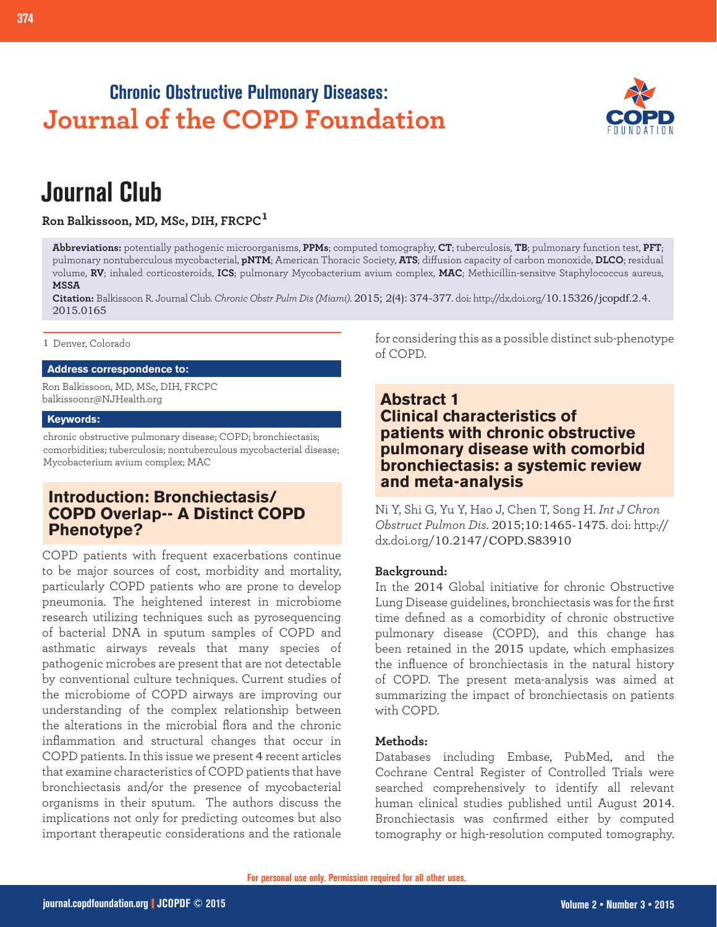## **Chronic Obstructive Pulmonary Diseases: Journal of the COPD Foundation**



# **Journal Club**

**Ron Balkissoon, MD, MSc, DIH, FRCPC<sup>1</sup>**

**Abbreviations:** potentially pathogenic microorganisms, **PPMs**; computed tomography, **CT**; tuberculosis, **TB**; pulmonary function test, **PFT**; pulmonary nontuberculous mycobacterial, **pNTM**; American Thoracic Society, **ATS**; diffusion capacity of carbon monoxide, **DLCO**; residual volume, **RV**; inhaled corticosteroids, **ICS**; pulmonary Mycobacterium avium complex, **MAC**; Methicillin-sensitve Staphylococcus aureus, **MSSA**

**Citation:** Balkissoon R. Journal Club. *Chronic Obstr Pulm Dis (Miami)*. 2015; 2(4): 374-377. doi: http://dx.doi.org/10.15326/jcopdf.2.4. 2015.0165

1 Denver, Colorado

### **Address correspondence to:**

Ron Balkissoon, MD, MSc, DIH, FRCPC balkissoonr@NJHealth.org

#### **Keywords:**

chronic obstructive pulmonary disease; COPD; bronchiectasis; comorbidities; tuberculosis; nontuberculous mycobacterial disease; Mycobacterium avium complex; MAC

## **Introduction: Bronchiectasis/ COPD Overlap-- A Distinct COPD Phenotype?**

COPD patients with frequent exacerbations continue to be major sources of cost, morbidity and mortality, particularly COPD patients who are prone to develop pneumonia. The heightened interest in microbiome research utilizing techniques such as pyrosequencing of bacterial DNA in sputum samples of COPD and asthmatic airways reveals that many species of pathogenic microbes are present that are not detectable by conventional culture techniques. Current studies of the microbiome of COPD airways are improving our understanding of the complex relationship between the alterations in the microbial flora and the chronic inflammation and structural changes that occur in COPD patients. In this issue we present 4 recent articles that examine characteristics of COPD patients that have bronchiectasis and/or the presence of mycobacterial organisms in their sputum. The authors discuss the implications not only for predicting outcomes but also important therapeutic considerations and the rationale for considering this as a possible distinct sub-phenotype of COPD.

## **Abstract 1 Clinical characteristics of patients with chronic obstructive pulmonary disease with comorbid bronchiectasis: a systemic review and meta-analysis**

Ni Y, Shi G, Yu Y, Hao J, Chen T, Song H. *Int J Chron Obstruct Pulmon Dis*. 2015;10:1465-1475. doi: http:// dx.doi.org/10.2147/COPD.S83910

#### **Background:**

In the 2014 Global initiative for chronic Obstructive Lung Disease guidelines, bronchiectasis was for the first time defined as a comorbidity of chronic obstructive pulmonary disease (COPD), and this change has been retained in the 2015 update, which emphasizes the influence of bronchiectasis in the natural history of COPD. The present meta-analysis was aimed at summarizing the impact of bronchiectasis on patients with COPD.

## **Methods:**

Databases including Embase, PubMed, and the Cochrane Central Register of Controlled Trials were searched comprehensively to identify all relevant human clinical studies published until August 2014. Bronchiectasis was confirmed either by computed tomography or high-resolution computed tomography.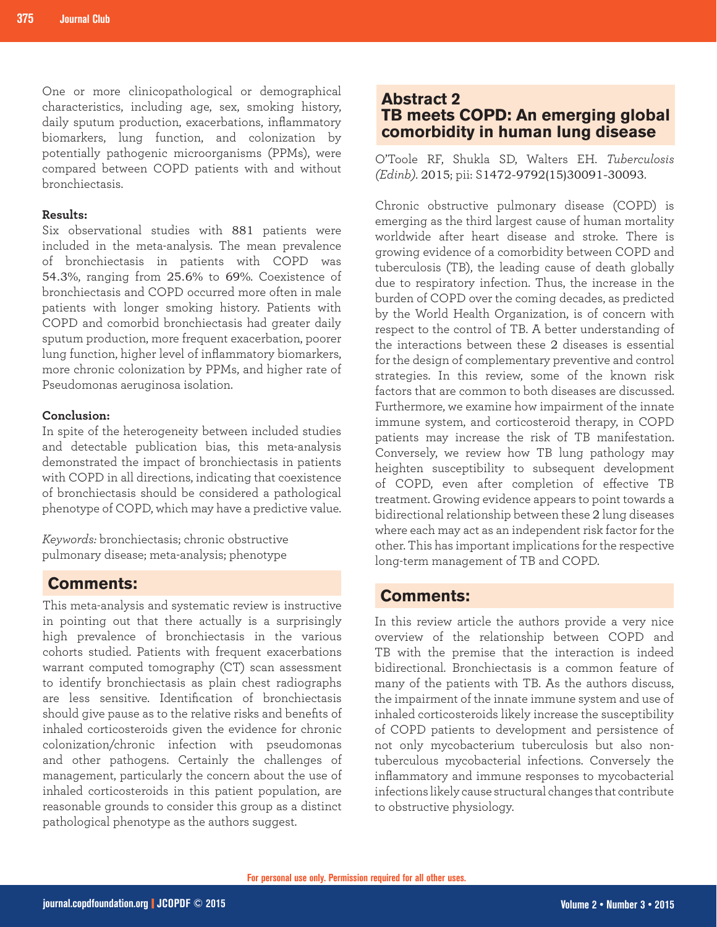One or more clinicopathological or demographical characteristics, including age, sex, smoking history, daily sputum production, exacerbations, inflammatory biomarkers, lung function, and colonization by potentially pathogenic microorganisms (PPMs), were compared between COPD patients with and without bronchiectasis.

### **Results:**

Six observational studies with 881 patients were included in the meta-analysis. The mean prevalence of bronchiectasis in patients with COPD was 54.3%, ranging from 25.6% to 69%. Coexistence of bronchiectasis and COPD occurred more often in male patients with longer smoking history. Patients with COPD and comorbid bronchiectasis had greater daily sputum production, more frequent exacerbation, poorer lung function, higher level of inflammatory biomarkers, more chronic colonization by PPMs, and higher rate of Pseudomonas aeruginosa isolation.

## **Conclusion:**

In spite of the heterogeneity between included studies and detectable publication bias, this meta-analysis demonstrated the impact of bronchiectasis in patients with COPD in all directions, indicating that coexistence of bronchiectasis should be considered a pathological phenotype of COPD, which may have a predictive value.

*Keywords:* bronchiectasis; chronic obstructive pulmonary disease; meta-analysis; phenotype

## **Comments:**

This meta-analysis and systematic review is instructive in pointing out that there actually is a surprisingly high prevalence of bronchiectasis in the various cohorts studied. Patients with frequent exacerbations warrant computed tomography (CT) scan assessment to identify bronchiectasis as plain chest radiographs are less sensitive. Identification of bronchiectasis should give pause as to the relative risks and benefits of inhaled corticosteroids given the evidence for chronic colonization/chronic infection with pseudomonas and other pathogens. Certainly the challenges of management, particularly the concern about the use of inhaled corticosteroids in this patient population, are reasonable grounds to consider this group as a distinct pathological phenotype as the authors suggest.

## **Abstract 2 TB meets COPD: An emerging global comorbidity in human lung disease**

O'Toole RF, Shukla SD, Walters EH. *Tuberculosis (Edinb)*. 2015; pii: S1472-9792(15)30091-30093.

Chronic obstructive pulmonary disease (COPD) is emerging as the third largest cause of human mortality worldwide after heart disease and stroke. There is growing evidence of a comorbidity between COPD and tuberculosis (TB), the leading cause of death globally due to respiratory infection. Thus, the increase in the burden of COPD over the coming decades, as predicted by the World Health Organization, is of concern with respect to the control of TB. A better understanding of the interactions between these 2 diseases is essential for the design of complementary preventive and control strategies. In this review, some of the known risk factors that are common to both diseases are discussed. Furthermore, we examine how impairment of the innate immune system, and corticosteroid therapy, in COPD patients may increase the risk of TB manifestation. Conversely, we review how TB lung pathology may heighten susceptibility to subsequent development of COPD, even after completion of effective TB treatment. Growing evidence appears to point towards a bidirectional relationship between these 2 lung diseases where each may act as an independent risk factor for the other. This has important implications for the respective long-term management of TB and COPD.

## **Comments:**

In this review article the authors provide a very nice overview of the relationship between COPD and TB with the premise that the interaction is indeed bidirectional. Bronchiectasis is a common feature of many of the patients with TB. As the authors discuss, the impairment of the innate immune system and use of inhaled corticosteroids likely increase the susceptibility of COPD patients to development and persistence of not only mycobacterium tuberculosis but also nontuberculous mycobacterial infections. Conversely the inflammatory and immune responses to mycobacterial infections likely cause structural changes that contribute to obstructive physiology.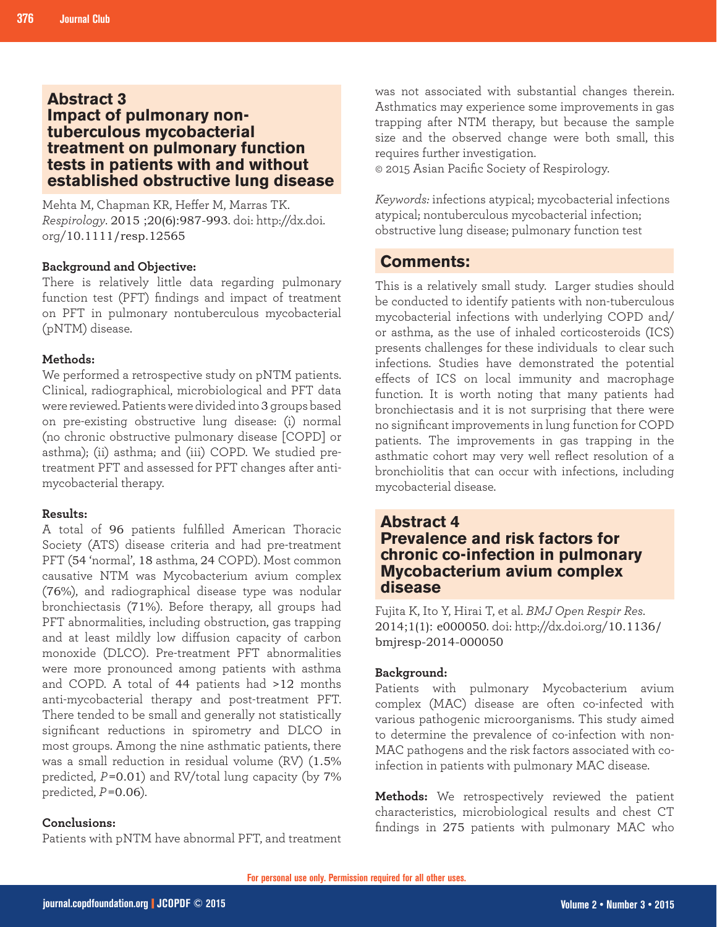## **Abstract 3 Impact of pulmonary nontuberculous mycobacterial treatment on pulmonary function tests in patients with and without established obstructive lung disease**

Mehta M, Chapman KR, Heffer M, Marras TK. *Respirology*. 2015 ;20(6):987-993. doi: http://dx.doi. org/10.1111/resp.12565

#### **Background and Objective:**

There is relatively little data regarding pulmonary function test (PFT) findings and impact of treatment on PFT in pulmonary nontuberculous mycobacterial (pNTM) disease.

#### **Methods:**

We performed a retrospective study on pNTM patients. Clinical, radiographical, microbiological and PFT data were reviewed. Patients were divided into 3 groups based on pre-existing obstructive lung disease: (i) normal (no chronic obstructive pulmonary disease [COPD] or asthma); (ii) asthma; and (iii) COPD. We studied pretreatment PFT and assessed for PFT changes after antimycobacterial therapy.

#### **Results:**

A total of 96 patients fulfilled American Thoracic Society (ATS) disease criteria and had pre-treatment PFT (54 'normal', 18 asthma, 24 COPD). Most common causative NTM was Mycobacterium avium complex (76%), and radiographical disease type was nodular bronchiectasis (71%). Before therapy, all groups had PFT abnormalities, including obstruction, gas trapping and at least mildly low diffusion capacity of carbon monoxide (DLCO). Pre-treatment PFT abnormalities were more pronounced among patients with asthma and COPD. A total of 44 patients had >12 months anti-mycobacterial therapy and post-treatment PFT. There tended to be small and generally not statistically significant reductions in spirometry and DLCO in most groups. Among the nine asthmatic patients, there was a small reduction in residual volume (RV) (1.5% predicted, *P*=0.01) and RV/total lung capacity (by 7% predicted, *P*=0.06).

#### **Conclusions:**

Patients with pNTM have abnormal PFT, and treatment

was not associated with substantial changes therein. Asthmatics may experience some improvements in gas trapping after NTM therapy, but because the sample size and the observed change were both small, this requires further investigation.

© 2015 Asian Pacific Society of Respirology.

*Keywords:* infections atypical; mycobacterial infections atypical; nontuberculous mycobacterial infection; obstructive lung disease; pulmonary function test

## **Comments:**

This is a relatively small study. Larger studies should be conducted to identify patients with non-tuberculous mycobacterial infections with underlying COPD and/ or asthma, as the use of inhaled corticosteroids (ICS) presents challenges for these individuals to clear such infections. Studies have demonstrated the potential effects of ICS on local immunity and macrophage function. It is worth noting that many patients had bronchiectasis and it is not surprising that there were no significant improvements in lung function for COPD patients. The improvements in gas trapping in the asthmatic cohort may very well reflect resolution of a bronchiolitis that can occur with infections, including mycobacterial disease.

## **Abstract 4 Prevalence and risk factors for chronic co-infection in pulmonary Mycobacterium avium complex disease**

Fujita K, Ito Y, Hirai T, et al. *BMJ Open Respir Res*. 2014;1(1): e000050. doi: http://dx.doi.org/10.1136/ bmjresp-2014-000050

#### **Background:**

Patients with pulmonary Mycobacterium avium complex (MAC) disease are often co-infected with various pathogenic microorganisms. This study aimed to determine the prevalence of co-infection with non-MAC pathogens and the risk factors associated with coinfection in patients with pulmonary MAC disease.

**Methods:** We retrospectively reviewed the patient characteristics, microbiological results and chest CT findings in 275 patients with pulmonary MAC who